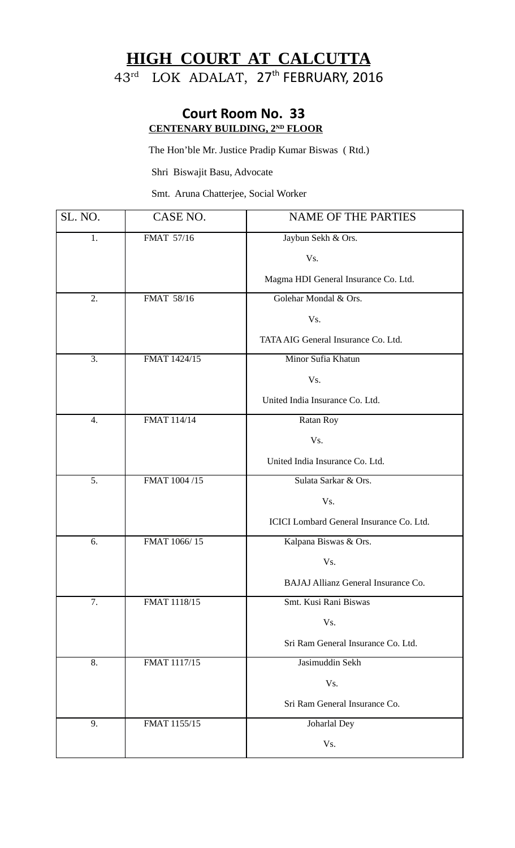## **HIGH COURT AT CALCUTTA**  43<sup>rd</sup> LOK ADALAT, 27<sup>th</sup> FEBRUARY, 2016

## **Court Room No. 33 CENTENARY BUILDING, 2ND FLOOR**

The Hon'ble Mr. Justice Pradip Kumar Biswas ( Rtd.)

Shri Biswajit Basu, Advocate

Smt. Aruna Chatterjee, Social Worker

| SL. NO. | CASE NO.     | <b>NAME OF THE PARTIES</b>               |
|---------|--------------|------------------------------------------|
| 1.      | FMAT 57/16   | Jaybun Sekh & Ors.                       |
|         |              | Vs.                                      |
|         |              | Magma HDI General Insurance Co. Ltd.     |
| 2.      | FMAT 58/16   | Golehar Mondal & Ors.                    |
|         |              | Vs.                                      |
|         |              | TATA AIG General Insurance Co. Ltd.      |
| 3.      | FMAT 1424/15 | Minor Sufia Khatun                       |
|         |              | Vs.                                      |
|         |              | United India Insurance Co. Ltd.          |
| 4.      | FMAT 114/14  | Ratan Roy                                |
|         |              | Vs.                                      |
|         |              | United India Insurance Co. Ltd.          |
| 5.      | FMAT 1004/15 | Sulata Sarkar & Ors.                     |
|         |              | Vs.                                      |
|         |              | ICICI Lombard General Insurance Co. Ltd. |
| 6.      | FMAT 1066/15 | Kalpana Biswas & Ors.                    |
|         |              | Vs.                                      |
|         |              | BAJAJ Allianz General Insurance Co.      |
| 7.      | FMAT 1118/15 | Smt. Kusi Rani Biswas                    |
|         |              | Vs.                                      |
|         |              | Sri Ram General Insurance Co. Ltd.       |
| 8.      | FMAT 1117/15 | Jasimuddin Sekh                          |
|         |              | Vs.                                      |
|         |              | Sri Ram General Insurance Co.            |
| 9.      | FMAT 1155/15 | Joharlal Dey                             |
|         |              | Vs.                                      |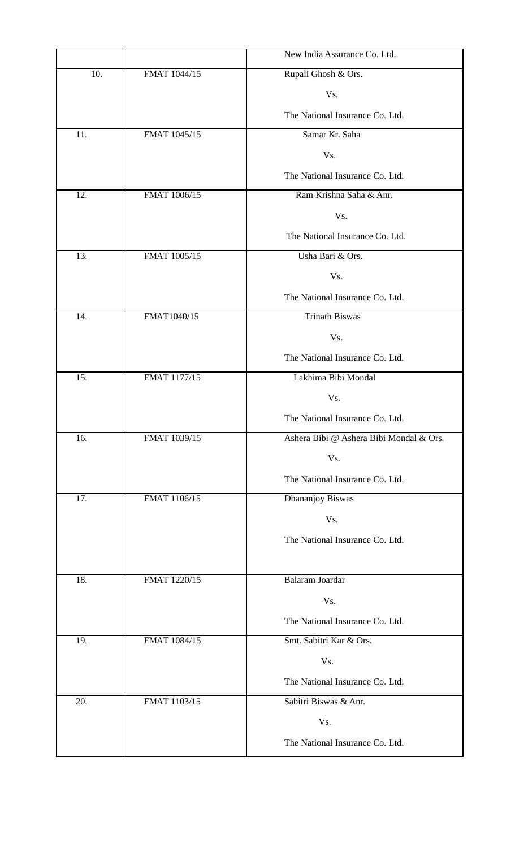|     |              | New India Assurance Co. Ltd.            |
|-----|--------------|-----------------------------------------|
| 10. | FMAT 1044/15 | Rupali Ghosh & Ors.                     |
|     |              | Vs.                                     |
|     |              | The National Insurance Co. Ltd.         |
| 11. | FMAT 1045/15 | Samar Kr. Saha                          |
|     |              | Vs.                                     |
|     |              | The National Insurance Co. Ltd.         |
| 12. | FMAT 1006/15 | Ram Krishna Saha & Anr.                 |
|     |              | Vs.                                     |
|     |              | The National Insurance Co. Ltd.         |
| 13. | FMAT 1005/15 | Usha Bari & Ors.                        |
|     |              | Vs.                                     |
|     |              | The National Insurance Co. Ltd.         |
| 14. | FMAT1040/15  | <b>Trinath Biswas</b>                   |
|     |              | Vs.                                     |
|     |              | The National Insurance Co. Ltd.         |
| 15. | FMAT 1177/15 | Lakhima Bibi Mondal                     |
|     |              | Vs.                                     |
|     |              | The National Insurance Co. Ltd.         |
| 16. | FMAT 1039/15 | Ashera Bibi @ Ashera Bibi Mondal & Ors. |
|     |              | Vs.                                     |
|     |              | The National Insurance Co. Ltd.         |
| 17. | FMAT 1106/15 | Dhananjoy Biswas                        |
|     |              | Vs.                                     |
|     |              | The National Insurance Co. Ltd.         |
|     |              |                                         |
| 18. | FMAT 1220/15 | Balaram Joardar                         |
|     |              | Vs.                                     |
|     |              | The National Insurance Co. Ltd.         |
| 19. | FMAT 1084/15 | Smt. Sabitri Kar & Ors.                 |
|     |              | Vs.                                     |
|     |              | The National Insurance Co. Ltd.         |
| 20. | FMAT 1103/15 | Sabitri Biswas & Anr.                   |
|     |              | Vs.                                     |
|     |              | The National Insurance Co. Ltd.         |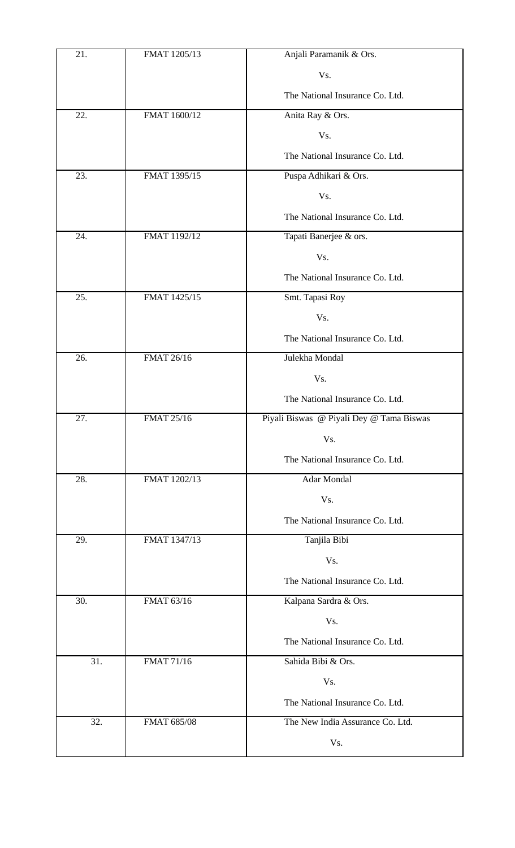| 21. | FMAT 1205/13      | Anjali Paramanik & Ors.                  |
|-----|-------------------|------------------------------------------|
|     |                   | Vs.                                      |
|     |                   | The National Insurance Co. Ltd.          |
| 22. | FMAT 1600/12      | Anita Ray & Ors.                         |
|     |                   | Vs.                                      |
|     |                   | The National Insurance Co. Ltd.          |
| 23. | FMAT 1395/15      | Puspa Adhikari & Ors.                    |
|     |                   | Vs.                                      |
|     |                   | The National Insurance Co. Ltd.          |
| 24. | FMAT 1192/12      | Tapati Banerjee & ors.                   |
|     |                   | Vs.                                      |
|     |                   | The National Insurance Co. Ltd.          |
| 25. | FMAT 1425/15      | Smt. Tapasi Roy                          |
|     |                   | Vs.                                      |
|     |                   | The National Insurance Co. Ltd.          |
| 26. | FMAT 26/16        | Julekha Mondal                           |
|     |                   | Vs.                                      |
|     |                   | The National Insurance Co. Ltd.          |
| 27. | <b>FMAT 25/16</b> | Piyali Biswas @ Piyali Dey @ Tama Biswas |
|     |                   | Vs.                                      |
|     |                   | The National Insurance Co. Ltd.          |
| 28. | FMAT 1202/13      | Adar Mondal                              |
|     |                   | Vs.                                      |
|     |                   | The National Insurance Co. Ltd.          |
| 29. | FMAT 1347/13      | Tanjila Bibi                             |
|     |                   | Vs.                                      |
|     |                   | The National Insurance Co. Ltd.          |
| 30. | FMAT 63/16        | Kalpana Sardra & Ors.                    |
|     |                   | Vs.                                      |
|     |                   | The National Insurance Co. Ltd.          |
| 31. | <b>FMAT 71/16</b> | Sahida Bibi & Ors.                       |
|     |                   | Vs.                                      |
|     |                   | The National Insurance Co. Ltd.          |
| 32. | FMAT 685/08       | The New India Assurance Co. Ltd.         |
|     |                   | Vs.                                      |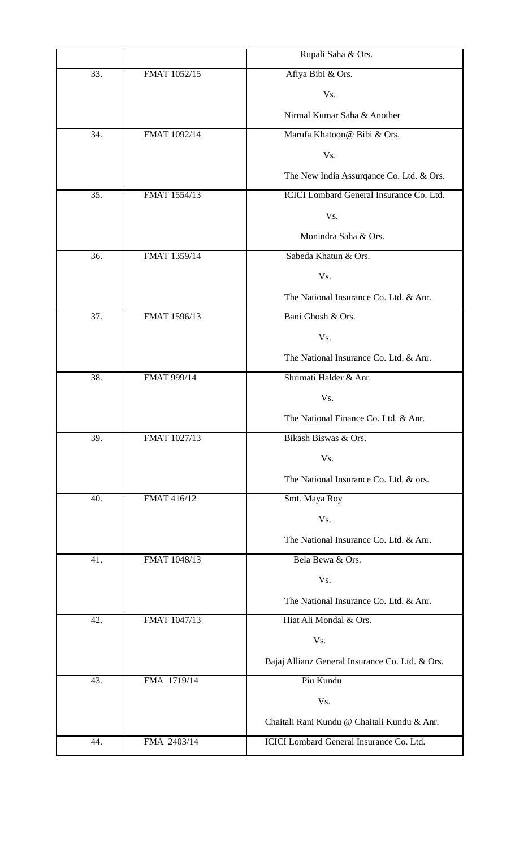|     |              | Rupali Saha & Ors.                              |
|-----|--------------|-------------------------------------------------|
| 33. | FMAT 1052/15 | Afiya Bibi & Ors.                               |
|     |              | Vs.                                             |
|     |              | Nirmal Kumar Saha & Another                     |
| 34. | FMAT 1092/14 | Marufa Khatoon@ Bibi & Ors.                     |
|     |              | Vs.                                             |
|     |              | The New India Assurgance Co. Ltd. & Ors.        |
| 35. | FMAT 1554/13 | ICICI Lombard General Insurance Co. Ltd.        |
|     |              | Vs.                                             |
|     |              | Monindra Saha & Ors.                            |
| 36. | FMAT 1359/14 | Sabeda Khatun & Ors.                            |
|     |              | Vs.                                             |
|     |              | The National Insurance Co. Ltd. & Anr.          |
| 37. | FMAT 1596/13 | Bani Ghosh & Ors.                               |
|     |              | Vs.                                             |
|     |              | The National Insurance Co. Ltd. & Anr.          |
| 38. | FMAT 999/14  | Shrimati Halder & Anr.                          |
|     |              | Vs.                                             |
|     |              | The National Finance Co. Ltd. & Anr.            |
| 39. | FMAT 1027/13 | Bikash Biswas & Ors.                            |
|     |              | Vs.                                             |
|     |              | The National Insurance Co. Ltd. & ors.          |
| 40. | FMAT 416/12  | Smt. Maya Roy                                   |
|     |              | Vs.                                             |
|     |              | The National Insurance Co. Ltd. & Anr.          |
| 41. | FMAT 1048/13 | Bela Bewa & Ors.                                |
|     |              | Vs.                                             |
|     |              | The National Insurance Co. Ltd. & Anr.          |
| 42. | FMAT 1047/13 | Hiat Ali Mondal & Ors.                          |
|     |              | Vs.                                             |
|     |              | Bajaj Allianz General Insurance Co. Ltd. & Ors. |
| 43. | FMA 1719/14  | Piu Kundu                                       |
|     |              | Vs.                                             |
|     |              | Chaitali Rani Kundu @ Chaitali Kundu & Anr.     |
| 44. | FMA 2403/14  | ICICI Lombard General Insurance Co. Ltd.        |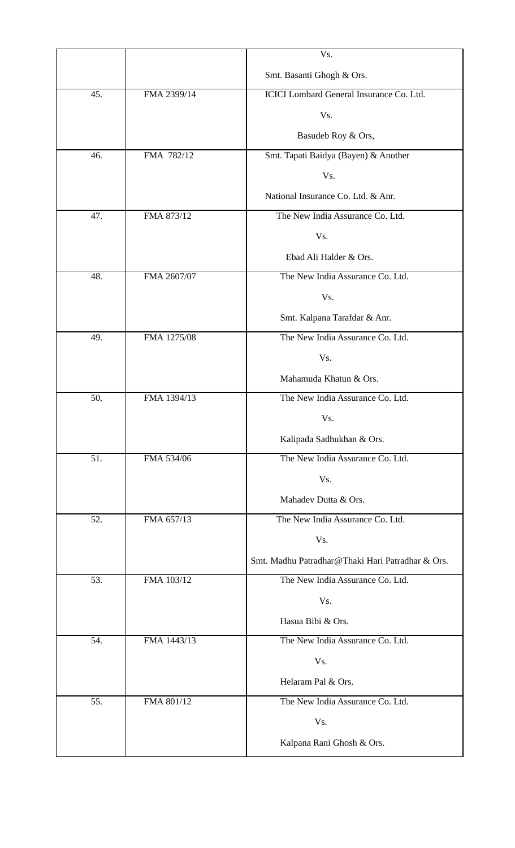|     |             | Vs.                                                                                  |
|-----|-------------|--------------------------------------------------------------------------------------|
|     |             | Smt. Basanti Ghogh & Ors.                                                            |
| 45. | FMA 2399/14 | ICICI Lombard General Insurance Co. Ltd.                                             |
|     |             | Vs.                                                                                  |
|     |             | Basudeb Roy & Ors,                                                                   |
| 46. | FMA 782/12  | Smt. Tapati Baidya (Bayen) & Another                                                 |
|     |             | Vs.                                                                                  |
|     |             | National Insurance Co. Ltd. & Anr.                                                   |
| 47. | FMA 873/12  | The New India Assurance Co. Ltd.                                                     |
|     |             | Vs.                                                                                  |
|     |             | Ebad Ali Halder & Ors.                                                               |
| 48. | FMA 2607/07 | The New India Assurance Co. Ltd.                                                     |
|     |             | Vs.                                                                                  |
|     |             | Smt. Kalpana Tarafdar & Anr.                                                         |
| 49. | FMA 1275/08 | The New India Assurance Co. Ltd.                                                     |
|     |             | Vs.                                                                                  |
|     |             | Mahamuda Khatun & Ors.                                                               |
| 50. | FMA 1394/13 | The New India Assurance Co. Ltd.                                                     |
|     |             | Vs.                                                                                  |
|     |             | Kalipada Sadhukhan & Ors.                                                            |
| 51. | FMA 534/06  | The New India Assurance Co. Ltd.                                                     |
|     |             | Vs.                                                                                  |
|     |             | Mahadev Dutta & Ors.                                                                 |
| 52. | FMA 657/13  | The New India Assurance Co. Ltd.                                                     |
|     |             | Vs.                                                                                  |
| 53. | FMA 103/12  | Smt. Madhu Patradhar@Thaki Hari Patradhar & Ors.<br>The New India Assurance Co. Ltd. |
|     |             | Vs.                                                                                  |
|     |             | Hasua Bibi & Ors.                                                                    |
| 54. | FMA 1443/13 | The New India Assurance Co. Ltd.                                                     |
|     |             | Vs.                                                                                  |
|     |             | Helaram Pal & Ors.                                                                   |
| 55. | FMA 801/12  | The New India Assurance Co. Ltd.                                                     |
|     |             | Vs.                                                                                  |
|     |             | Kalpana Rani Ghosh & Ors.                                                            |
|     |             |                                                                                      |